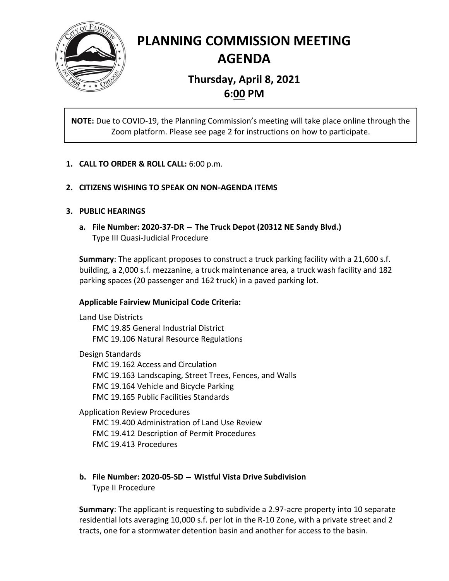

# **PLANNING COMMISSION MEETING AGENDA**

## **Thursday, April 8, 2021 6:00 PM**

**NOTE:** Due to COVID-19, the Planning Commission's meeting will take place online through the Zoom platform. Please see page 2 for instructions on how to participate.

## **1. CALL TO ORDER & ROLL CALL:** 6:00 p.m.

### **2. CITIZENS WISHING TO SPEAK ON NON-AGENDA ITEMS**

### **3. PUBLIC HEARINGS**

**a. File Number: 2020-37-DR** <sup>−</sup> **The Truck Depot (20312 NE Sandy Blvd.)** Type III Quasi-Judicial Procedure

**Summary**: The applicant proposes to construct a truck parking facility with a 21,600 s.f. building, a 2,000 s.f. mezzanine, a truck maintenance area, a truck wash facility and 182 parking spaces (20 passenger and 162 truck) in a paved parking lot.

### **Applicable Fairview Municipal Code Criteria:**

Land Use Districts FMC 19.85 General Industrial District FMC 19.106 Natural Resource Regulations

Design Standards FMC 19.162 Access and Circulation FMC 19.163 Landscaping, Street Trees, Fences, and Walls FMC 19.164 Vehicle and Bicycle Parking FMC 19.165 Public Facilities Standards

Application Review Procedures FMC 19.400 Administration of Land Use Review FMC 19.412 Description of Permit Procedures

FMC 19.413 Procedures

## **b. File Number: 2020-05-SD** <sup>−</sup> **Wistful Vista Drive Subdivision** Type II Procedure

**Summary**: The applicant is requesting to subdivide a 2.97-acre property into 10 separate residential lots averaging 10,000 s.f. per lot in the R-10 Zone, with a private street and 2 tracts, one for a stormwater detention basin and another for access to the basin.